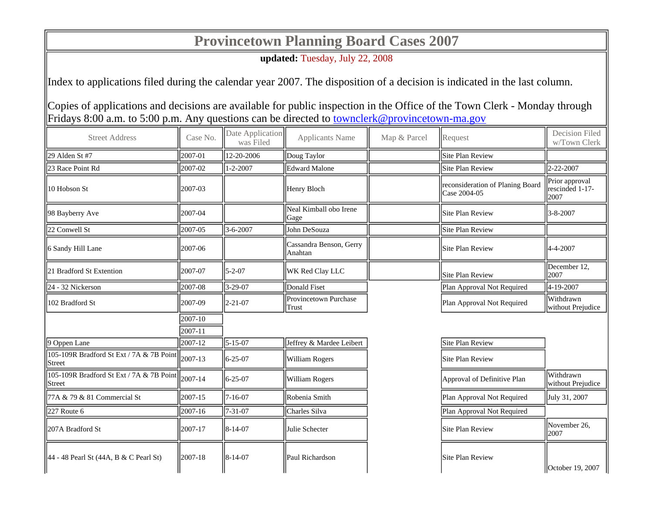## **Provincetown Planning Board Cases 2007**

**updated:** Tuesday, July 22, 2008

Index to applications filed during the calendar year 2007. The disposition of a decision is indicated in the last column.

Copies of applications and decisions are available for public inspection in the Office of the Town Clerk - Monday through Fridays 8:00 a.m. to 5:00 p.m. Any questions can be directed to townclerk@provincetown-ma.gov

| <b>Street Address</b>                                                     | Case No. | Date Application<br>was Filed | <b>Applicants Name</b>             | Map & Parcel | Request                                          | Decision Filed<br>w/Town Clerk            |
|---------------------------------------------------------------------------|----------|-------------------------------|------------------------------------|--------------|--------------------------------------------------|-------------------------------------------|
| 29 Alden St #7                                                            | 2007-01  | 12-20-2006                    | Doug Taylor                        |              | <b>Site Plan Review</b>                          |                                           |
| 23 Race Point Rd                                                          | 2007-02  | $1 - 2 - 2007$                | <b>Edward Malone</b>               |              | <b>Site Plan Review</b>                          | 2-22-2007                                 |
| 10 Hobson St                                                              | 2007-03  |                               | Henry Bloch                        |              | reconsideration of Planing Board<br>Case 2004-05 | Prior approval<br>rescinded 1-17-<br>2007 |
| 98 Bayberry Ave                                                           | 2007-04  |                               | Neal Kimball obo Irene<br>Gage     |              | Site Plan Review                                 | $3 - 8 - 2007$                            |
| 22 Conwell St                                                             | 2007-05  | 3-6-2007                      | John DeSouza                       |              | <b>Site Plan Review</b>                          |                                           |
| 6 Sandy Hill Lane                                                         | 2007-06  |                               | Cassandra Benson, Gerry<br>Anahtan |              | <b>Site Plan Review</b>                          | 4-4-2007                                  |
| 21 Bradford St Extention                                                  | 2007-07  | $5 - 2 - 07$                  | WK Red Clay LLC                    |              | <b>Site Plan Review</b>                          | December 12,<br>2007                      |
| 24 - 32 Nickerson                                                         | 2007-08  | 3-29-07                       | <b>Donald Fiset</b>                |              | Plan Approval Not Required                       | 4-19-2007                                 |
| 102 Bradford St                                                           | 2007-09  | $2 - 21 - 07$                 | Provincetown Purchase<br>Trust     |              | Plan Approval Not Required                       | Withdrawn<br>without Prejudice            |
|                                                                           | 2007-10  |                               |                                    |              |                                                  |                                           |
|                                                                           | 2007-11  |                               |                                    |              |                                                  |                                           |
| $\vert$ 9 Oppen Lane                                                      | 2007-12  | $5 - 15 - 07$                 | Jeffrey & Mardee Leibert           |              | <b>Site Plan Review</b>                          |                                           |
| 105-109R Bradford St Ext / 7A & 7B Point $\vert$ 2007-13<br><b>Street</b> |          | $6 - 25 - 07$                 | William Rogers                     |              | <b>Site Plan Review</b>                          |                                           |
| 105-109R Bradford St Ext / 7A & 7B Point   2007-14<br><b>Street</b>       |          | $6 - 25 - 07$                 | William Rogers                     |              | Approval of Definitive Plan                      | Withdrawn<br>without Prejudice            |
| 77A & 79 & 81 Commercial St                                               | 2007-15  | $7 - 16 - 07$                 | Robenia Smith                      |              | Plan Approval Not Required                       | July 31, 2007                             |
| 227 Route 6                                                               | 2007-16  | $7 - 31 - 07$                 | Charles Silva                      |              | Plan Approval Not Required                       |                                           |
| 207A Bradford St                                                          | 2007-17  | $8-14-07$                     | Julie Schecter                     |              | <b>Site Plan Review</b>                          | November 26,<br>2007                      |
| $  44 - 48$ Pearl St (44A, B & C Pearl St)                                | 2007-18  | $8 - 14 - 07$                 | Paul Richardson                    |              | Site Plan Review                                 | <b>October 19, 2007</b>                   |